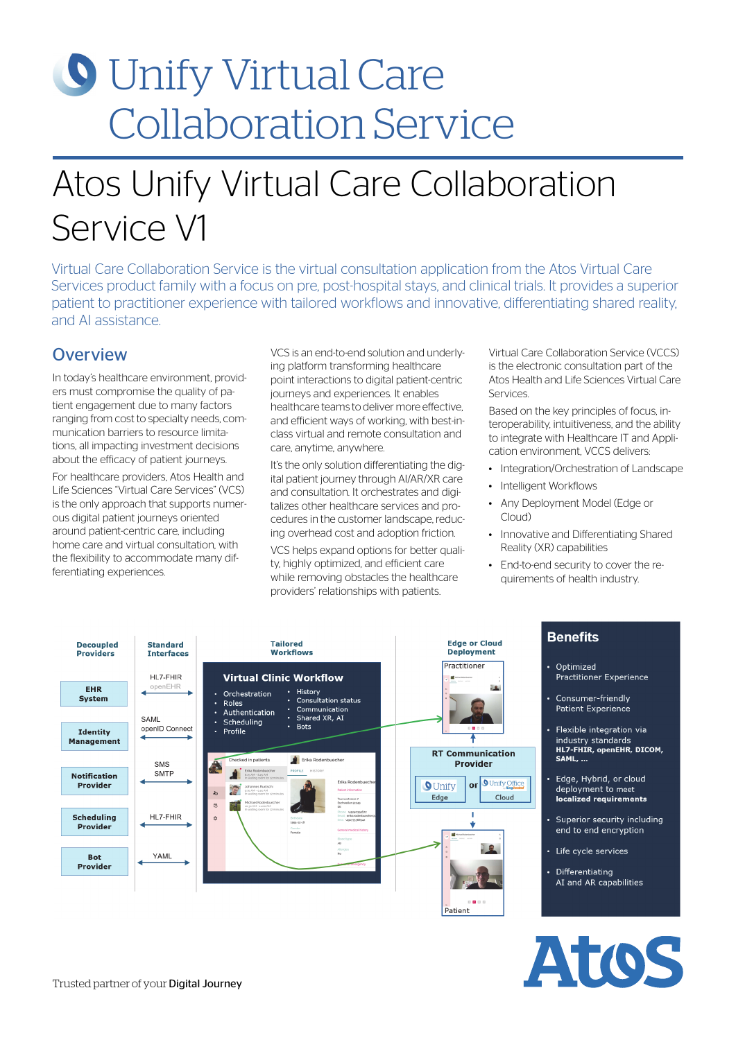# **O** Unify Virtual Care Collaboration Service

# Atos Unify Virtual Care Collaboration Service V1

Virtual Care Collaboration Service is the virtual consultation application from the Atos Virtual Care Services product family with a focus on pre, post-hospital stays, and clinical trials. It provides a superior patient to practitioner experience with tailored workflows and innovative, differentiating shared reality, and AI assistance.

### **Overview**

In today's healthcare environment, providers must compromise the quality of patient engagement due to many factors ranging from cost to specialty needs, communication barriers to resource limitations, all impacting investment decisions about the efficacy of patient journeys.

For healthcare providers, Atos Health and Life Sciences "Virtual Care Services" (VCS) is the only approach that supports numerous digital patient journeys oriented around patient-centric care, including home care and virtual consultation, with the flexibility to accommodate many differentiating experiences.

VCS is an end-to-end solution and underlying platform transforming healthcare point interactions to digital patient-centric journeys and experiences. It enables healthcare teams to deliver more effective, and efficient ways of working, with best-inclass virtual and remote consultation and care, anytime, anywhere.

It's the only solution differentiating the digital patient journey through AI/AR/XR care and consultation. It orchestrates and digitalizes other healthcare services and procedures in the customer landscape, reducing overhead cost and adoption friction.

VCS helps expand options for better quality, highly optimized, and efficient care while removing obstacles the healthcare providers' relationships with patients.

Virtual Care Collaboration Service (VCCS) is the electronic consultation part of the Atos Health and Life Sciences Virtual Care Services.

Based on the key principles of focus, interoperability, intuitiveness, and the ability to integrate with Healthcare IT and Application environment, VCCS delivers:

- Integration/Orchestration of Landscape
- Intelligent Workflows
- Any Deployment Model (Edge or Cloud)
- Innovative and Differentiating Shared Reality (XR) capabilities
- End-to-end security to cover the requirements of health industry.



## **Benefits**

- Optimized **Practitioner Experience**
- Consumer-friendly **Patient Experience**
- Flexible integration via industry standards **HLZ-FHIR, openEHR, DICOM,** SAML, ...
- Edge, Hybrid, or cloud deployment to meet localized requirements
- Superior security including end to end encryption
- Life cycle services
- Differentiating AI and AR capabilities